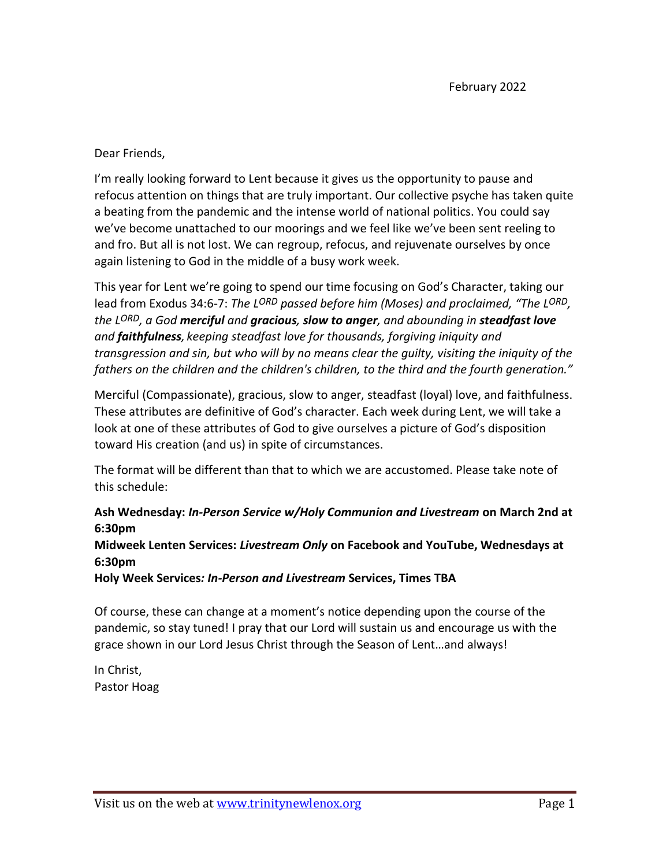Dear Friends,

I'm really looking forward to Lent because it gives us the opportunity to pause and refocus attention on things that are truly important. Our collective psyche has taken quite a beating from the pandemic and the intense world of national politics. You could say we've become unattached to our moorings and we feel like we've been sent reeling to and fro. But all is not lost. We can regroup, refocus, and rejuvenate ourselves by once again listening to God in the middle of a busy work week.

This year for Lent we're going to spend our time focusing on God's Character, taking our lead from Exodus 34:6-7: *The LORD passed before him (Moses) and proclaimed, "The LORD, the LORD, a God merciful and gracious, slow to anger, and abounding in steadfast love and faithfulness, keeping steadfast love for thousands, forgiving iniquity and transgression and sin, but who will by no means clear the guilty, visiting the iniquity of the fathers on the children and the children's children, to the third and the fourth generation."*

Merciful (Compassionate), gracious, slow to anger, steadfast (loyal) love, and faithfulness. These attributes are definitive of God's character. Each week during Lent, we will take a look at one of these attributes of God to give ourselves a picture of God's disposition toward His creation (and us) in spite of circumstances.

The format will be different than that to which we are accustomed. Please take note of this schedule:

**Ash Wednesday:** *In-Person Service w/Holy Communion and Livestream* **on March 2nd at 6:30pm**

**Midweek Lenten Services:** *Livestream Only* **on Facebook and YouTube, Wednesdays at 6:30pm**

**Holy Week Services***: In-Person and Livestream* **Services, Times TBA**

Of course, these can change at a moment's notice depending upon the course of the pandemic, so stay tuned! I pray that our Lord will sustain us and encourage us with the grace shown in our Lord Jesus Christ through the Season of Lent…and always!

In Christ, Pastor Hoag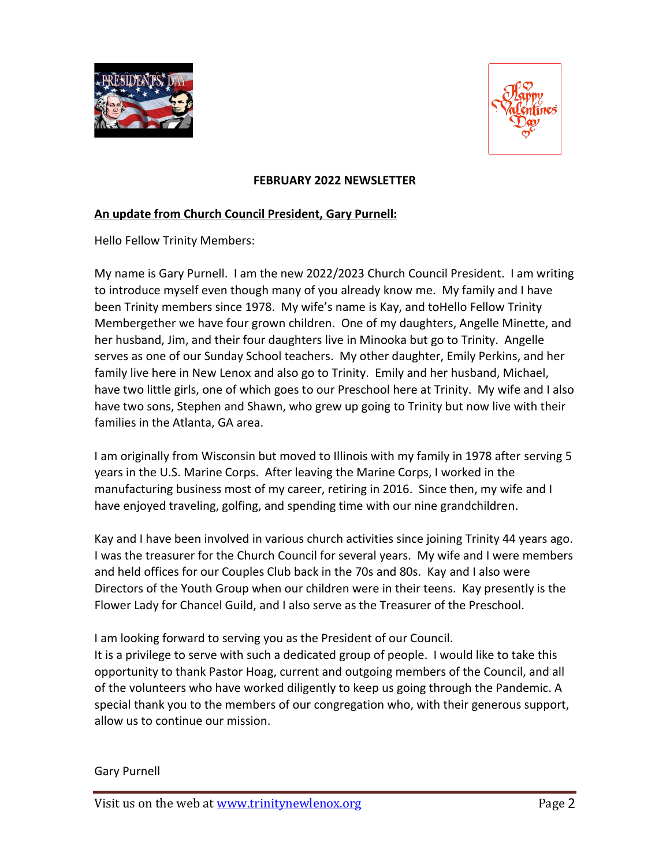



### **FEBRUARY 2022 NEWSLETTER**

## **An update from Church Council President, Gary Purnell:**

Hello Fellow Trinity Members:

My name is Gary Purnell. I am the new 2022/2023 Church Council President. I am writing to introduce myself even though many of you already know me. My family and I have been Trinity members since 1978. My wife's name is Kay, and toHello Fellow Trinity Membergether we have four grown children. One of my daughters, Angelle Minette, and her husband, Jim, and their four daughters live in Minooka but go to Trinity. Angelle serves as one of our Sunday School teachers. My other daughter, Emily Perkins, and her family live here in New Lenox and also go to Trinity. Emily and her husband, Michael, have two little girls, one of which goes to our Preschool here at Trinity. My wife and I also have two sons, Stephen and Shawn, who grew up going to Trinity but now live with their families in the Atlanta, GA area.

I am originally from Wisconsin but moved to Illinois with my family in 1978 after serving 5 years in the U.S. Marine Corps. After leaving the Marine Corps, I worked in the manufacturing business most of my career, retiring in 2016. Since then, my wife and I have enjoyed traveling, golfing, and spending time with our nine grandchildren.

Kay and I have been involved in various church activities since joining Trinity 44 years ago. I was the treasurer for the Church Council for several years. My wife and I were members and held offices for our Couples Club back in the 70s and 80s. Kay and I also were Directors of the Youth Group when our children were in their teens. Kay presently is the Flower Lady for Chancel Guild, and I also serve as the Treasurer of the Preschool.

I am looking forward to serving you as the President of our Council. It is a privilege to serve with such a dedicated group of people. I would like to take this opportunity to thank Pastor Hoag, current and outgoing members of the Council, and all of the volunteers who have worked diligently to keep us going through the Pandemic. A special thank you to the members of our congregation who, with their generous support, allow us to continue our mission.

#### Gary Purnell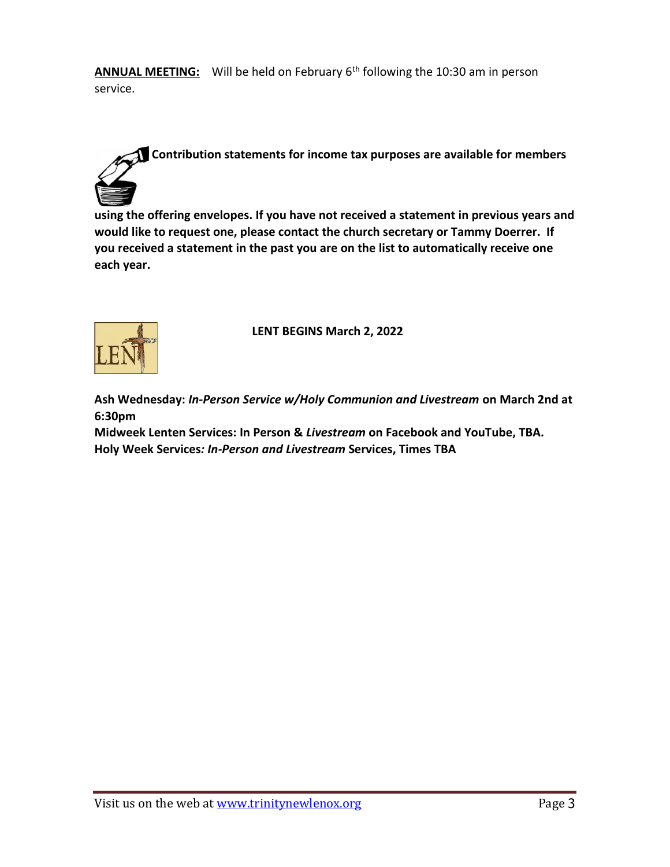ANNUAL MEETING: Will be held on February 6<sup>th</sup> following the 10:30 am in person service.

# **Contribution statements for income tax purposes are available for members**

**using the offering envelopes. If you have not received a statement in previous years and would like to request one, please contact the church secretary or Tammy Doerrer. If you received a statement in the past you are on the list to automatically receive one each year.** 



**LENT BEGINS March 2, 2022**

**Ash Wednesday:** *In-Person Service w/Holy Communion and Livestream* **on March 2nd at 6:30pm**

**Midweek Lenten Services: In Person &** *Livestream* **on Facebook and YouTube, TBA. Holy Week Services***: In-Person and Livestream* **Services, Times TBA**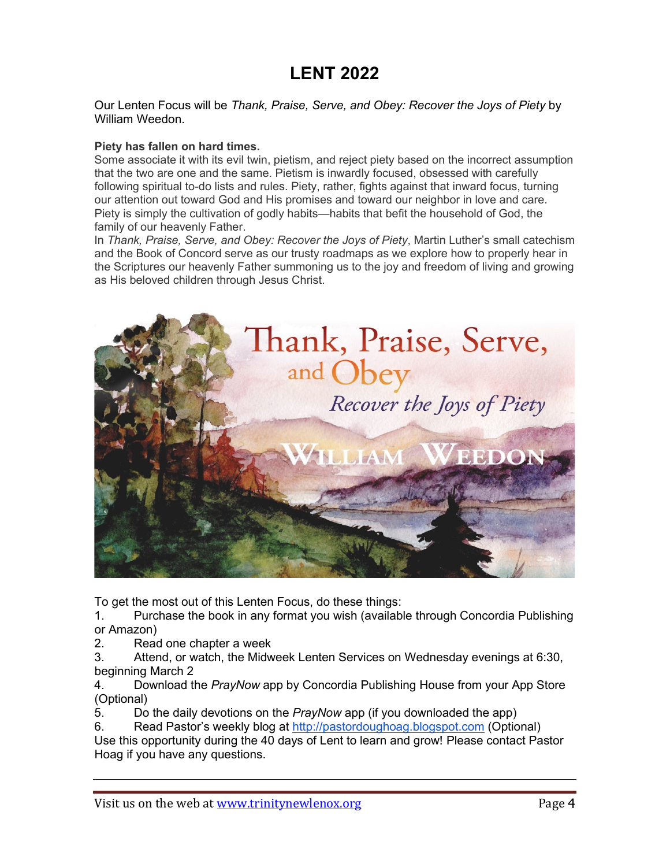# **LENT 2022**

Our Lenten Focus will be *Thank, Praise, Serve, and Obey: Recover the Joys of Piety* by William Weedon.

#### **Piety has fallen on hard times.**

Some associate it with its evil twin, pietism, and reject piety based on the incorrect assumption that the two are one and the same. Pietism is inwardly focused, obsessed with carefully following spiritual to-do lists and rules. Piety, rather, fights against that inward focus, turning our attention out toward God and His promises and toward our neighbor in love and care. Piety is simply the cultivation of godly habits—habits that befit the household of God, the family of our heavenly Father.

In *Thank, Praise, Serve, and Obey: Recover the Joys of Piety*, Martin Luther's small catechism and the Book of Concord serve as our trusty roadmaps as we explore how to properly hear in the Scriptures our heavenly Father summoning us to the joy and freedom of living and growing as His beloved children through Jesus Christ.



To get the most out of this Lenten Focus, do these things:

1. Purchase the book in any format you wish (available through Concordia Publishing or Amazon)

2. Read one chapter a week

3. Attend, or watch, the Midweek Lenten Services on Wednesday evenings at 6:30, beginning March 2

4. Download the *PrayNow* app by Concordia Publishing House from your App Store (Optional)

5. Do the daily devotions on the *PrayNow* app (if you downloaded the app)

6. Read Pastor's weekly blog at [http://pastordoughoag.blogspot.com](http://pastordoughoag.blogspot.com/) (Optional) Use this opportunity during the 40 days of Lent to learn and grow! Please contact Pastor Hoag if you have any questions.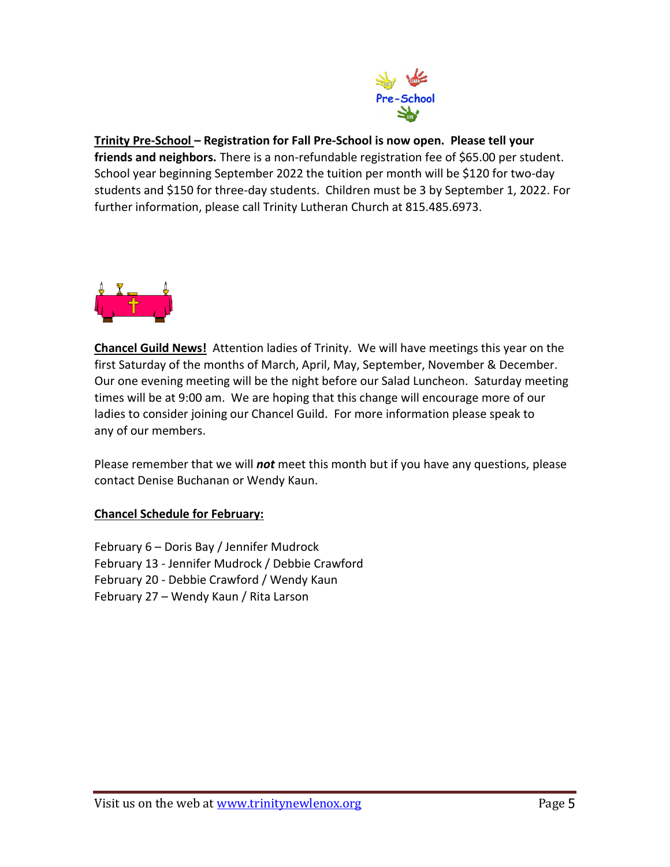

# **Trinity Pre-School – Registration for Fall Pre-School is now open. Please tell your**

**friends and neighbors.** There is a non-refundable registration fee of \$65.00 per student. School year beginning September 2022 the tuition per month will be \$120 for two-day students and \$150 for three-day students. Children must be 3 by September 1, 2022. For further information, please call Trinity Lutheran Church at 815.485.6973.



**Chancel Guild News!** Attention ladies of Trinity. We will have meetings this year on the first Saturday of the months of March, April, May, September, November & December. Our one evening meeting will be the night before our Salad Luncheon. Saturday meeting times will be at 9:00 am. We are hoping that this change will encourage more of our ladies to consider joining our Chancel Guild. For more information please speak to any of our members.

Please remember that we will *not* meet this month but if you have any questions, please contact Denise Buchanan or Wendy Kaun.

# **Chancel Schedule for February:**

February 6 – Doris Bay / Jennifer Mudrock February 13 - Jennifer Mudrock / Debbie Crawford February 20 - Debbie Crawford / Wendy Kaun February 27 – Wendy Kaun / Rita Larson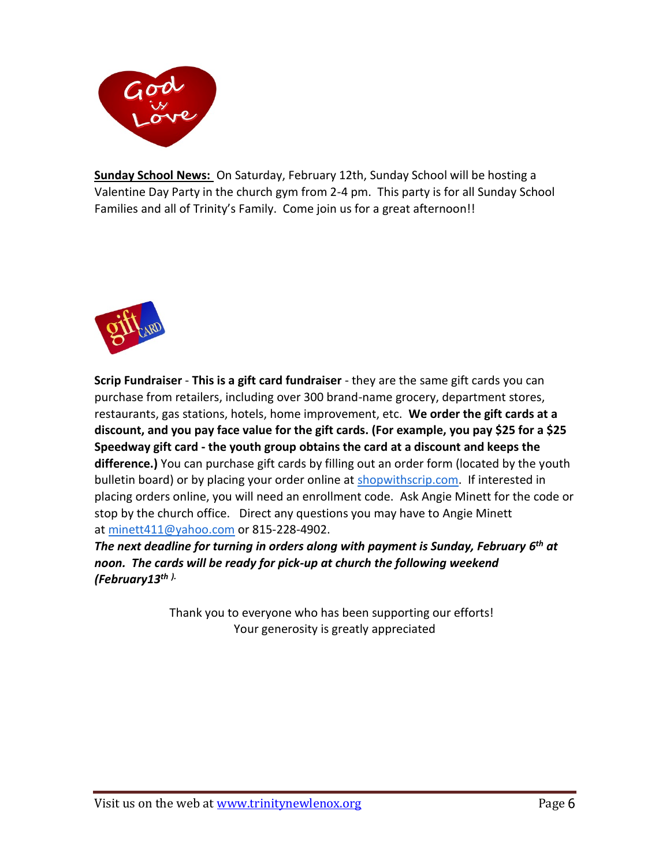

**Sunday School News:** On Saturday, February 12th, Sunday School will be hosting a Valentine Day Party in the church gym from 2-4 pm. This party is for all Sunday School Families and all of Trinity's Family. Come join us for a great afternoon!!



**Scrip Fundraiser** - **This is a gift card fundraiser** - they are the same gift cards you can purchase from retailers, including over 300 brand-name grocery, department stores, restaurants, gas stations, hotels, home improvement, etc. **We order the gift cards at a discount, and you pay face value for the gift cards. (For example, you pay \$25 for a \$25 Speedway gift card - the youth group obtains the card at a discount and keeps the difference.)** You can purchase gift cards by filling out an order form (located by the youth bulletin board) or by placing your order online at [shopwithscrip.com.](http://shopwithscrip.com/) If interested in placing orders online, you will need an enrollment code. Ask Angie Minett for the code or stop by the church office. Direct any questions you may have to Angie Minett at [minett411@yahoo.com](mailto:minett411@yahoo.com) or 815-228-4902.

*The next deadline for turning in orders along with payment is Sunday, February 6 th at noon. The cards will be ready for pick-up at church the following weekend (February13 th ).*

> Thank you to everyone who has been supporting our efforts! Your generosity is greatly appreciated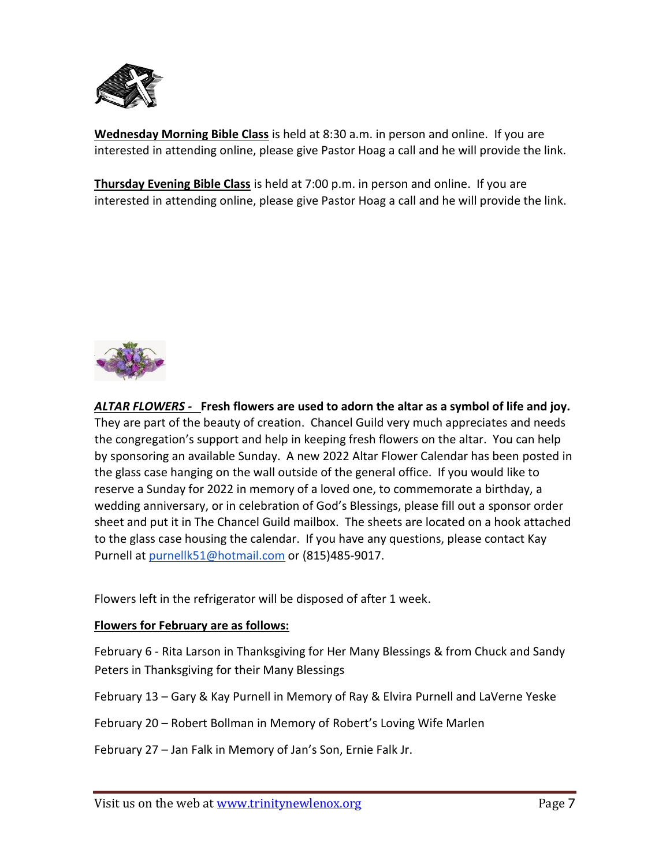

**Wednesday Morning Bible Class** is held at 8:30 a.m. in person and online. If you are interested in attending online, please give Pastor Hoag a call and he will provide the link.

**Thursday Evening Bible Class** is held at 7:00 p.m. in person and online. If you are interested in attending online, please give Pastor Hoag a call and he will provide the link.



*ALTAR FLOWERS -* **Fresh flowers are used to adorn the altar as a symbol of life and joy.** They are part of the beauty of creation. Chancel Guild very much appreciates and needs the congregation's support and help in keeping fresh flowers on the altar. You can help by sponsoring an available Sunday. A new 2022 Altar Flower Calendar has been posted in the glass case hanging on the wall outside of the general office. If you would like to reserve a Sunday for 2022 in memory of a loved one, to commemorate a birthday, a wedding anniversary, or in celebration of God's Blessings, please fill out a sponsor order sheet and put it in The Chancel Guild mailbox. The sheets are located on a hook attached to the glass case housing the calendar. If you have any questions, please contact Kay Purnell at [purnellk51@hotmail.com](mailto:purnellk51@hotmail.com) or (815)485-9017.

Flowers left in the refrigerator will be disposed of after 1 week.

# **Flowers for February are as follows:**

February 6 - Rita Larson in Thanksgiving for Her Many Blessings & from Chuck and Sandy Peters in Thanksgiving for their Many Blessings

February 13 – Gary & Kay Purnell in Memory of Ray & Elvira Purnell and LaVerne Yeske

February 20 – Robert Bollman in Memory of Robert's Loving Wife Marlen

February 27 – Jan Falk in Memory of Jan's Son, Ernie Falk Jr.